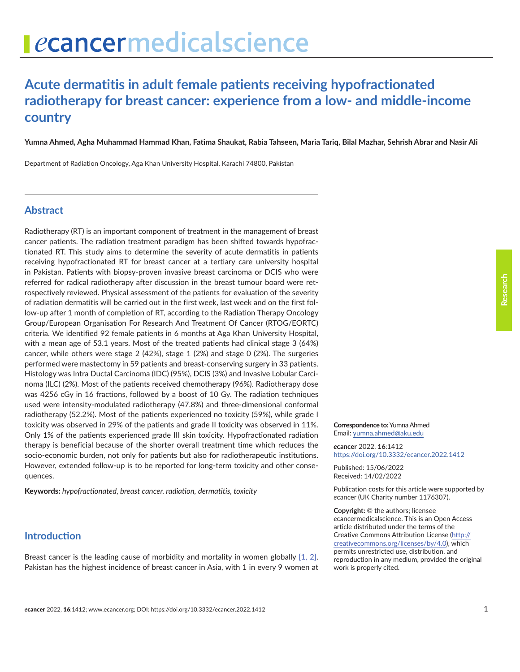# **Acute dermatitis in adult female patients receiving hypofractionated radiotherapy for breast cancer: experience from a low- and middle-income country**

**Yumna Ahmed, Agha Muhammad Hammad Khan, Fatima Shaukat, Rabia Tahseen, Maria Tariq, Bilal Mazhar, Sehrish Abrar and Nasir Ali**

Department of Radiation Oncology, Aga Khan University Hospital, Karachi 74800, Pakistan

## **Abstract**

Radiotherapy (RT) is an important component of treatment in the management of breast cancer patients. The radiation treatment paradigm has been shifted towards hypofractionated RT. This study aims to determine the severity of acute dermatitis in patients receiving hypofractionated RT for breast cancer at a tertiary care university hospital in Pakistan. Patients with biopsy-proven invasive breast carcinoma or DCIS who were referred for radical radiotherapy after discussion in the breast tumour board were retrospectively reviewed. Physical assessment of the patients for evaluation of the severity of radiation dermatitis will be carried out in the first week, last week and on the first follow-up after 1 month of completion of RT, according to the Radiation Therapy Oncology Group/European Organisation For Research And Treatment Of Cancer (RTOG/EORTC) criteria. We identified 92 female patients in 6 months at Aga Khan University Hospital, with a mean age of 53.1 years. Most of the treated patients had clinical stage 3 (64%) cancer, while others were stage 2 (42%), stage 1 (2%) and stage 0 (2%). The surgeries performed were mastectomy in 59 patients and breast-conserving surgery in 33 patients. Histology was Intra Ductal Carcinoma (IDC) (95%), DCIS (3%) and Invasive Lobular Carcinoma (ILC) (2%). Most of the patients received chemotherapy (96%). Radiotherapy dose was 4256 cGy in 16 fractions, followed by a boost of 10 Gy. The radiation techniques used were intensity-modulated radiotherapy (47.8%) and three-dimensional conformal radiotherapy (52.2%). Most of the patients experienced no toxicity (59%), while grade I toxicity was observed in 29% of the patients and grade II toxicity was observed in 11%. Only 1% of the patients experienced grade III skin toxicity. Hypofractionated radiation therapy is beneficial because of the shorter overall treatment time which reduces the socio-economic burden, not only for patients but also for radiotherapeutic institutions. However, extended follow-up is to be reported for long-term toxicity and other consequences.

**Keywords:** *hypofractionated, breast cancer, radiation, dermatitis, toxicity*

## **Introduction**

Breast cancer is the leading cause of morbidity and mortality in women globally [\[1, 2\].](#page-6-0) Pakistan has the highest incidence of breast cancer in Asia, with 1 in every 9 women at

#### **Correspondence to:**Yumna Ahmed Email: [yumna.ahmed@aku.edu](mailto:yumna.ahmed@aku.edu)

*e***cancer** 2022, **16**:1412 [https://doi.org/10.3332/ecancer.2022.141](https://doi.org/10.3332/ecancer.2022.1412)2

Published: 15/06/2022 Received: 14/02/2022

Publication costs for this article were supported by *e*cancer (UK Charity number 1176307).

**Copyright:** © the authors; licensee *e*cancermedicalscience. This is an Open Access article distributed under the terms of the Creative Commons Attribution License (http:// creativecommons.org/licenses/by/4.0), which permits unrestricted use, distribution, and reproduction in any medium, provided the original work is properly cited.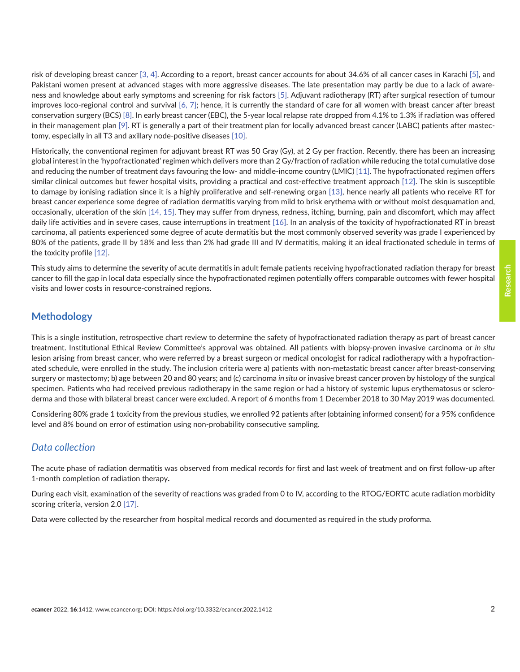risk of developing breast cancer [\[3, 4\]](#page-6-0). According to a report, breast cancer accounts for about 34.6% of all cancer cases in Karachi [\[5\],](#page-6-0) and Pakistani women present at advanced stages with more aggressive diseases. The late presentation may partly be due to a lack of awareness and knowledge about early symptoms and screening for risk factors [\[5\]](#page-6-0). Adjuvant radiotherapy (RT) after surgical resection of tumour improves loco-regional control and survival [\[6, 7\];](#page-6-0) hence, it is currently the standard of care for all women with breast cancer after breast conservation surgery (BCS) [\[8\].](#page-6-0) In early breast cancer (EBC), the 5-year local relapse rate dropped from 4.1% to 1.3% if radiation was offered in their management plan [\[9\]](#page-6-0). RT is generally a part of their treatment plan for locally advanced breast cancer (LABC) patients after mastectomy, especially in all T3 and axillary node-positive diseases [\[10\].](#page-6-0)

Historically, the conventional regimen for adjuvant breast RT was 50 Gray (Gy), at 2 Gy per fraction. Recently, there has been an increasing global interest in the 'hypofractionated' regimen which delivers more than 2 Gy/fraction of radiation while reducing the total cumulative dose and reducing the number of treatment days favouring the low- and middle-income country (LMIC) [\[11\]](#page-6-0). The hypofractionated regimen offers similar clinical outcomes but fewer hospital visits, providing a practical and cost-effective treatment approach [\[12\]](#page-6-0). The skin is susceptible to damage by ionising radiation since it is a highly proliferative and self-renewing organ [\[13\]](#page-7-0), hence nearly all patients who receive RT for breast cancer experience some degree of radiation dermatitis varying from mild to brisk erythema with or without moist desquamation and, occasionally, ulceration of the skin [\[14, 15\]](#page-7-0). They may suffer from dryness, redness, itching, burning, pain and discomfort, which may affect daily life activities and in severe cases, cause interruptions in treatment [\[16\]](#page-7-0). In an analysis of the toxicity of hypofractionated RT in breast carcinoma, all patients experienced some degree of acute dermatitis but the most commonly observed severity was grade I experienced by 80% of the patients, grade II by 18% and less than 2% had grade III and IV dermatitis, making it an ideal fractionated schedule in terms of the toxicity profile [\[12\]](#page-6-0).

This study aims to determine the severity of acute dermatitis in adult female patients receiving hypofractionated radiation therapy for breast cancer to fill the gap in local data especially since the hypofractionated regimen potentially offers comparable outcomes with fewer hospital visits and lower costs in resource-constrained regions.

## **Methodology**

This is a single institution, retrospective chart review to determine the safety of hypofractionated radiation therapy as part of breast cancer treatment. Institutional Ethical Review Committee's approval was obtained. All patients with biopsy-proven invasive carcinoma or *in situ* lesion arising from breast cancer, who were referred by a breast surgeon or medical oncologist for radical radiotherapy with a hypofractionated schedule, were enrolled in the study. The inclusion criteria were a) patients with non-metastatic breast cancer after breast-conserving surgery or mastectomy; b) age between 20 and 80 years; and (c) carcinoma *in situ* or invasive breast cancer proven by histology of the surgical specimen. Patients who had received previous radiotherapy in the same region or had a history of systemic lupus erythematosus or scleroderma and those with bilateral breast cancer were excluded. A report of 6 months from 1 December 2018 to 30 May 2019 was documented.

Considering 80% grade 1 toxicity from the previous studies, we enrolled 92 patients after (obtaining informed consent) for a 95% confidence level and 8% bound on error of estimation using non-probability consecutive sampling.

### *Data collection*

The acute phase of radiation dermatitis was observed from medical records for first and last week of treatment and on first follow-up after 1-month completion of radiation therapy**.**

During each visit, examination of the severity of reactions was graded from 0 to IV, according to the RTOG/EORTC acute radiation morbidity scoring criteria, version 2.0 [\[17\]](#page-7-0).

Data were collected by the researcher from hospital medical records and documented as required in the study proforma.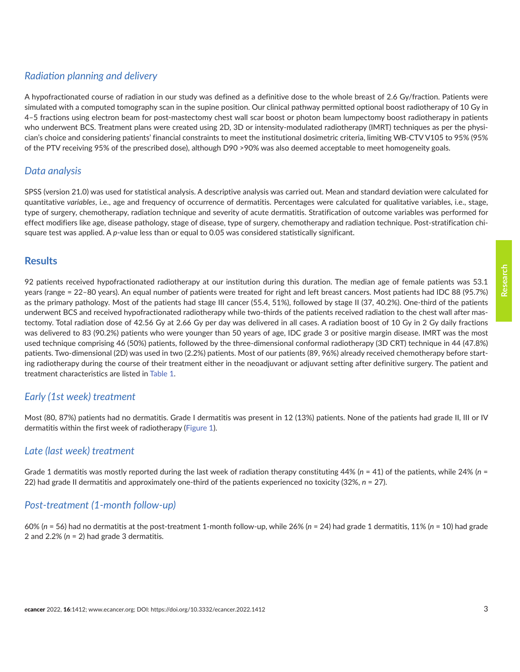## *Radiation planning and delivery*

A hypofractionated course of radiation in our study was defined as a definitive dose to the whole breast of 2.6 Gy/fraction. Patients were simulated with a computed tomography scan in the supine position. Our clinical pathway permitted optional boost radiotherapy of 10 Gy in 4–5 fractions using electron beam for post-mastectomy chest wall scar boost or photon beam lumpectomy boost radiotherapy in patients who underwent BCS. Treatment plans were created using 2D, 3D or intensity-modulated radiotherapy (IMRT) techniques as per the physician's choice and considering patients' financial constraints to meet the institutional dosimetric criteria, limiting WB-CTV V105 to 95% (95% of the PTV receiving 95% of the prescribed dose), although D90 >90% was also deemed acceptable to meet homogeneity goals.

## *Data analysis*

SPSS (version 21.0) was used for statistical analysis. A descriptive analysis was carried out. Mean and standard deviation were calculated for quantitative *variables*, i.e., age and frequency of occurrence of dermatitis. Percentages were calculated for qualitative variables, i.e., stage, type of surgery, chemotherapy, radiation technique and severity of acute dermatitis. Stratification of outcome variables was performed for effect modifiers like age, disease pathology, stage of disease, type of surgery, chemotherapy and radiation technique. Post-stratification chisquare test was applied. A *p*-value less than or equal to 0.05 was considered statistically significant.

## **Results**

92 patients received hypofractionated radiotherapy at our institution during this duration. The median age of female patients was 53.1 years (range = 22–80 years). An equal number of patients were treated for right and left breast cancers. Most patients had IDC 88 (95.7%) as the primary pathology. Most of the patients had stage III cancer (55.4, 51%), followed by stage II (37, 40.2%). One-third of the patients underwent BCS and received hypofractionated radiotherapy while two-thirds of the patients received radiation to the chest wall after mastectomy. Total radiation dose of 42.56 Gy at 2.66 Gy per day was delivered in all cases. A radiation boost of 10 Gy in 2 Gy daily fractions was delivered to 83 (90.2%) patients who were younger than 50 years of age, IDC grade 3 or positive margin disease. IMRT was the most used technique comprising 46 (50%) patients, followed by the three-dimensional conformal radiotherapy (3D CRT) technique in 44 (47.8%) patients. Two-dimensional (2D) was used in two (2.2%) patients. Most of our patients (89, 96%) already received chemotherapy before starting radiotherapy during the course of their treatment either in the neoadjuvant or adjuvant setting after definitive surgery. The patient and treatment characteristics are listed in [Table 1.](#page-3-0)

## *Early (1st week) treatment*

Most (80, 87%) patients had no dermatitis. Grade I dermatitis was present in 12 (13%) patients. None of the patients had grade II, III or IV dermatitis within the first week of radiotherapy [\(Figure 1](#page-4-0)).

### *Late (last week) treatment*

Grade 1 dermatitis was mostly reported during the last week of radiation therapy constituting 44% (*n* = 41) of the patients, while 24% (*n* = 22) had grade II dermatitis and approximately one-third of the patients experienced no toxicity (32%, *n* = 27).

## *Post-treatment (1-month follow-up)*

60% (*n* = 56) had no dermatitis at the post-treatment 1-month follow-up, while 26% (*n* = 24) had grade 1 dermatitis, 11% (*n* = 10) had grade 2 and 2.2% (*n* = 2) had grade 3 dermatitis.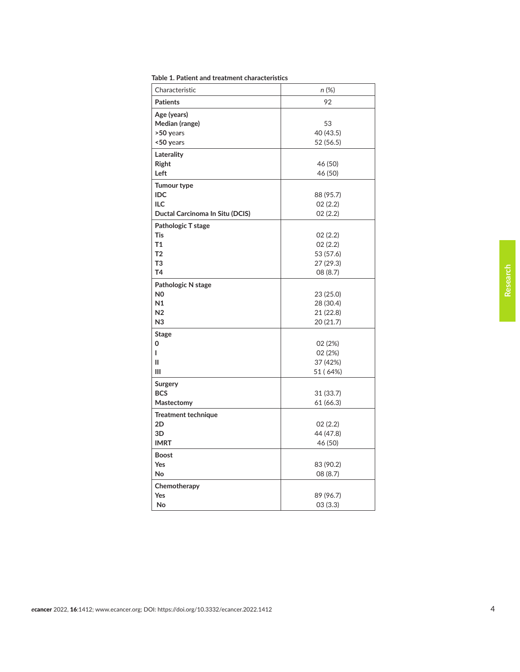| Characteristic                                                                               | n (%)                                                   |
|----------------------------------------------------------------------------------------------|---------------------------------------------------------|
| <b>Patients</b>                                                                              | 92                                                      |
| Age (years)<br>Median (range)<br>>50 years<br><50 years                                      | 53<br>40 (43.5)<br>52 (56.5)                            |
| Laterality<br>Right<br>Left                                                                  | 46 (50)<br>46 (50)                                      |
| <b>Tumour type</b><br>IDC<br>ILC<br>Ductal Carcinoma In Situ (DCIS)                          | 88 (95.7)<br>02(2.2)<br>02(2.2)                         |
| Pathologic T stage<br>Tis<br><b>T1</b><br>T <sub>2</sub><br>T <sub>3</sub><br>T <sub>4</sub> | 02(2.2)<br>02(2.2)<br>53 (57.6)<br>27 (29.3)<br>08(8.7) |
| Pathologic N stage<br>N <sub>0</sub><br>N1<br>N <sub>2</sub><br>N <sub>3</sub>               | 23 (25.0)<br>28 (30.4)<br>21 (22.8)<br>20 (21.7)        |
| <b>Stage</b><br>0<br>L<br>Ш<br>Ш                                                             | 02 (2%)<br>02 (2%)<br>37 (42%)<br>51 (64%)              |
| Surgery<br><b>BCS</b><br>Mastectomy                                                          | 31 (33.7)<br>61 (66.3)                                  |
| <b>Treatment technique</b><br>2D<br>3D<br><b>IMRT</b>                                        | 02(2.2)<br>44 (47.8)<br>46 (50)                         |
| <b>Boost</b><br>Yes<br>No                                                                    | 83 (90.2)<br>08 (8.7)                                   |
| Chemotherapy<br>Yes<br>No                                                                    | 89 (96.7)<br>03(3.3)                                    |

<span id="page-3-0"></span>**Table 1. Patient and treatment characteristics**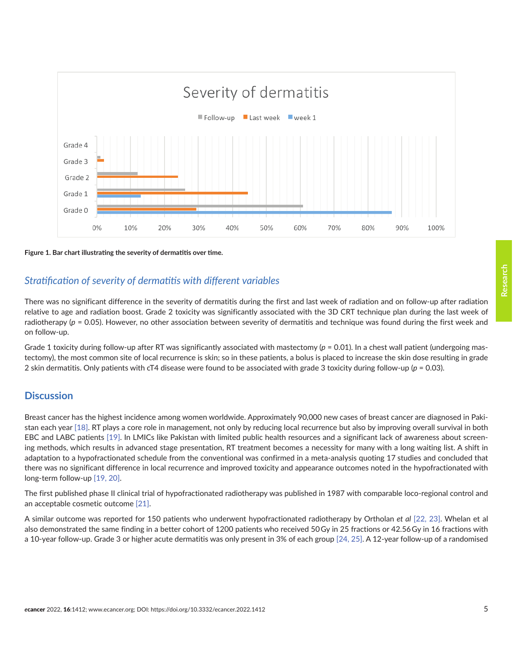<span id="page-4-0"></span>

**Figure 1. Bar chart illustrating the severity of dermatitis over time.**

## *Stratification of severity of dermatitis with different variables*

There was no significant difference in the severity of dermatitis during the first and last week of radiation and on follow-up after radiation relative to age and radiation boost. Grade 2 toxicity was significantly associated with the 3D CRT technique plan during the last week of radiotherapy (p = 0.05). However, no other association between severity of dermatitis and technique was found during the first week and on follow-up.

Grade 1 toxicity during follow-up after RT was significantly associated with mastectomy ( $p = 0.01$ ). In a chest wall patient (undergoing mastectomy), the most common site of local recurrence is skin; so in these patients, a bolus is placed to increase the skin dose resulting in grade 2 skin dermatitis. Only patients with cT4 disease were found to be associated with grade 3 toxicity during follow-up (*p* = 0.03).

## **Discussion**

Breast cancer has the highest incidence among women worldwide. Approximately 90,000 new cases of breast cancer are diagnosed in Pakistan each year [\[18\].](#page-7-0) RT plays a core role in management, not only by reducing local recurrence but also by improving overall survival in both EBC and LABC patients [\[19\]](#page-7-0). In LMICs like Pakistan with limited public health resources and a significant lack of awareness about screening methods, which results in advanced stage presentation, RT treatment becomes a necessity for many with a long waiting list. A shift in adaptation to a hypofractionated schedule from the conventional was confirmed in a meta-analysis quoting 17 studies and concluded that there was no significant difference in local recurrence and improved toxicity and appearance outcomes noted in the hypofractionated with long-term follow-up [\[19, 20\]](#page-7-0).

The first published phase II clinical trial of hypofractionated radiotherapy was published in 1987 with comparable loco-regional control and an acceptable cosmetic outcome [\[21\].](#page-7-0)

A similar outcome was reported for 150 patients who underwent hypofractionated radiotherapy by Ortholan *et al* [\[22,](#page-7-0) [23\].](#page-7-0) Whelan et al also demonstrated the same finding in a better cohort of 1200 patients who received 50 Gy in 25 fractions or 42.56 Gy in 16 fractions with a 10-year follow-up. Grade 3 or higher acute dermatitis was only present in 3% of each group [\[24,](#page-7-0) [25\].](#page-7-0) A 12-year follow-up of a randomised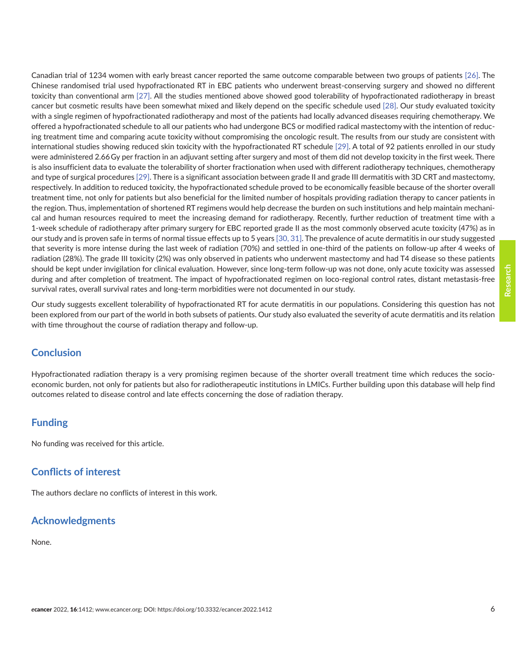Canadian trial of 1234 women with early breast cancer reported the same outcome comparable between two groups of patients [\[26\].](#page-7-0) The Chinese randomised trial used hypofractionated RT in EBC patients who underwent breast-conserving surgery and showed no different toxicity than conventional arm [\[27\].](#page-7-0) All the studies mentioned above showed good tolerability of hypofractionated radiotherapy in breast cancer but cosmetic results have been somewhat mixed and likely depend on the specific schedule used [\[28\].](#page-7-0) Our study evaluated toxicity with a single regimen of hypofractionated radiotherapy and most of the patients had locally advanced diseases requiring chemotherapy. We offered a hypofractionated schedule to all our patients who had undergone BCS or modified radical mastectomy with the intention of reducing treatment time and comparing acute toxicity without compromising the oncologic result. The results from our study are consistent with international studies showing reduced skin toxicity with the hypofractionated RT schedule [\[29\].](#page-8-0) A total of 92 patients enrolled in our study were administered 2.66 Gy per fraction in an adjuvant setting after surgery and most of them did not develop toxicity in the first week. There is also insufficient data to evaluate the tolerability of shorter fractionation when used with different radiotherapy techniques, chemotherapy and type of surgical procedures [\[29\]](#page-8-0). There is a significant association between grade II and grade III dermatitis with 3D CRT and mastectomy, respectively. In addition to reduced toxicity, the hypofractionated schedule proved to be economically feasible because of the shorter overall treatment time, not only for patients but also beneficial for the limited number of hospitals providing radiation therapy to cancer patients in the region. Thus, implementation of shortened RT regimens would help decrease the burden on such institutions and help maintain mechanical and human resources required to meet the increasing demand for radiotherapy. Recently, further reduction of treatment time with a 1-week schedule of radiotherapy after primary surgery for EBC reported grade II as the most commonly observed acute toxicity (47%) as in our study and is proven safe in terms of normal tissue effects up to 5 years [\[30, 31\]](#page-8-0). The prevalence of acute dermatitis in our study suggested that severity is more intense during the last week of radiation (70%) and settled in one-third of the patients on follow-up after 4 weeks of radiation (28%). The grade III toxicity (2%) was only observed in patients who underwent mastectomy and had T4 disease so these patients should be kept under invigilation for clinical evaluation. However, since long-term follow-up was not done, only acute toxicity was assessed during and after completion of treatment. The impact of hypofractionated regimen on loco-regional control rates, distant metastasis-free survival rates, overall survival rates and long-term morbidities were not documented in our study.

Our study suggests excellent tolerability of hypofractionated RT for acute dermatitis in our populations. Considering this question has not been explored from our part of the world in both subsets of patients. Our study also evaluated the severity of acute dermatitis and its relation with time throughout the course of radiation therapy and follow-up.

## **Conclusion**

Hypofractionated radiation therapy is a very promising regimen because of the shorter overall treatment time which reduces the socioeconomic burden, not only for patients but also for radiotherapeutic institutions in LMICs. Further building upon this database will help find outcomes related to disease control and late effects concerning the dose of radiation therapy.

## **Funding**

No funding was received for this article.

## **Conflicts of interest**

The authors declare no conflicts of interest in this work.

## **Acknowledgments**

None.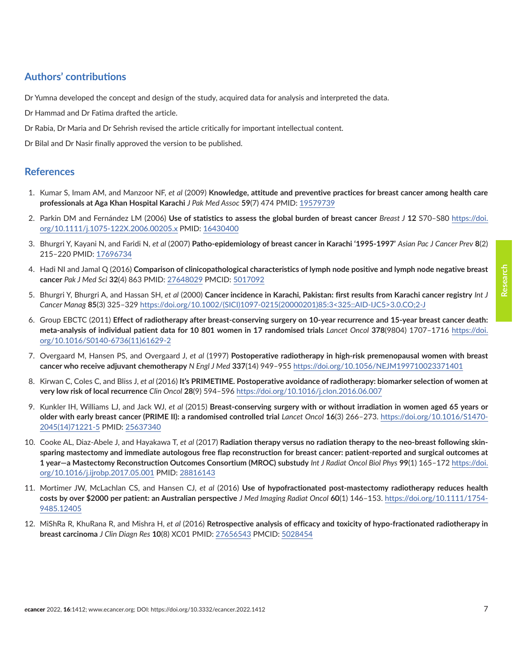## <span id="page-6-0"></span>**Authors' contributions**

Dr Yumna developed the concept and design of the study, acquired data for analysis and interpreted the data.

Dr Hammad and Dr Fatima drafted the article.

Dr Rabia, Dr Maria and Dr Sehrish revised the article critically for important intellectual content.

Dr Bilal and Dr Nasir finally approved the version to be published.

#### **References**

- 1. Kumar S, Imam AM, and Manzoor NF, *et al* (2009) **Knowledge, attitude and preventive practices for breast cancer among health care professionals at Aga Khan Hospital Karachi** *J Pak Med Assoc* **59**(7) 474 PMID: [19579739](http://www.ncbi.nlm.nih.gov/pubmed/19579739)
- 2. Parkin DM and Fernández LM (2006) **Use of statistics to assess the global burden of breast cancer** *Breast J* **12** S70–S80 [https://doi.](https://doi.org/10.1111/j.1075-122X.2006.00205.x) [org/10.1111/j.1075-122X.2006.00205.x](https://doi.org/10.1111/j.1075-122X.2006.00205.x) PMID: [16430400](http://www.ncbi.nlm.nih.gov/pubmed/16430400)
- 3. Bhurgri Y, Kayani N, and Faridi N, *et al* (2007) **Patho-epidemiology of breast cancer in Karachi '1995-1997'** *Asian Pac J Cancer Prev* **8**(2) 215–220 PMID: [17696734](http://www.ncbi.nlm.nih.gov/pubmed/17696734)
- 4. Hadi NI and Jamal Q (2016) **Comparison of clinicopathological characteristics of lymph node positive and lymph node negative breast cancer** *Pak J Med Sci* **32**(4) 863 PMID: [27648029](http://www.ncbi.nlm.nih.gov/pubmed/27648029) PMCID: [5017092](http://www.ncbi.nlm.nih.gov/pmc/articles/PMC5017092)
- 5. Bhurgri Y, Bhurgri A, and Hassan SH, *et al* (2000) **Cancer incidence in Karachi, Pakistan: first results from Karachi cancer registry** *Int J Cancer Manag* **85**(3) 325–329 [https://doi.org/10.1002/\(SICI\)1097-0215\(20000201\)85:3<325::AID-IJC5>3.0.CO;2-J](https://doi.org/10.1002/(SICI)1097-0215(20000201)85:3<325::AID-IJC5>3.0.CO;2-J)
- 6. Group EBCTC (2011) **Effect of radiotherapy after breast-conserving surgery on 10-year recurrence and 15-year breast cancer death: meta-analysis of individual patient data for 10 801 women in 17 randomised trials** *Lancet Oncol* **378**(9804) 1707–1716 [https://doi.](https://doi.org/10.1016/S0140-6736(11)61629-2) [org/10.1016/S0140-6736\(11\)61629-2](https://doi.org/10.1016/S0140-6736(11)61629-2)
- 7. Overgaard M, Hansen PS, and Overgaard J, *et al* (1997) **Postoperative radiotherapy in high-risk premenopausal women with breast cancer who receive adjuvant chemotherapy** *N Engl J Med* **337**(14) 949–955 <https://doi.org/10.1056/NEJM199710023371401>
- 8. Kirwan C, Coles C, and Bliss J, *et al* (2016) **It's PRIMETIME. Postoperative avoidance of radiotherapy: biomarker selection of women at very low risk of local recurrence** *Clin Oncol* **28**(9) 594–596 <https://doi.org/10.1016/j.clon.2016.06.007>
- 9. Kunkler IH, Williams LJ, and Jack WJ, *et al* (2015) **Breast-conserving surgery with or without irradiation in women aged 65 years or older with early breast cancer (PRIME II): a randomised controlled trial** *Lancet Oncol* **16**(3) 266–273. [https://doi.org/10.1016/S1470-](https://doi.org/10.1016/S1470-2045(14)71221-5) [2045\(14\)71221-5](https://doi.org/10.1016/S1470-2045(14)71221-5) PMID: [25637340](http://www.ncbi.nlm.nih.gov/pubmed/25637340)
- 10. Cooke AL, Diaz-Abele J, and Hayakawa T, *et al* (2017) **Radiation therapy versus no radiation therapy to the neo-breast following skinsparing mastectomy and immediate autologous free flap reconstruction for breast cancer: patient-reported and surgical outcomes at 1 year—a Mastectomy Reconstruction Outcomes Consortium (MROC) substudy** *Int J Radiat Oncol Biol Phys* **99**(1) 165–172 [https://doi.](https://doi.org/10.1016/j.ijrobp.2017.05.001) [org/10.1016/j.ijrobp.2017.05.001](https://doi.org/10.1016/j.ijrobp.2017.05.001) PMID: [28816143](http://www.ncbi.nlm.nih.gov/pubmed/28816143)
- 11. Mortimer JW, McLachlan CS, and Hansen CJ, *et al* (2016) **Use of hypofractionated post-mastectomy radiotherapy reduces health costs by over \$2000 per patient: an Australian perspective** *J Med Imaging Radiat Oncol* **60**(1) 146–153. [https://doi.org/10.1111/1754-](https://doi.org/10.1111/1754-9485.12405) [9485.12405](https://doi.org/10.1111/1754-9485.12405)
- 12. MiShRa R, KhuRana R, and Mishra H, *et al* (2016) **Retrospective analysis of efficacy and toxicity of hypo-fractionated radiotherapy in breast carcinoma** *J Clin Diagn Res* **10**(8) XC01 PMID: [27656543](http://www.ncbi.nlm.nih.gov/pubmed/27656543) PMCID: [5028454](http://www.ncbi.nlm.nih.gov/pmc/articles/PMC5028454)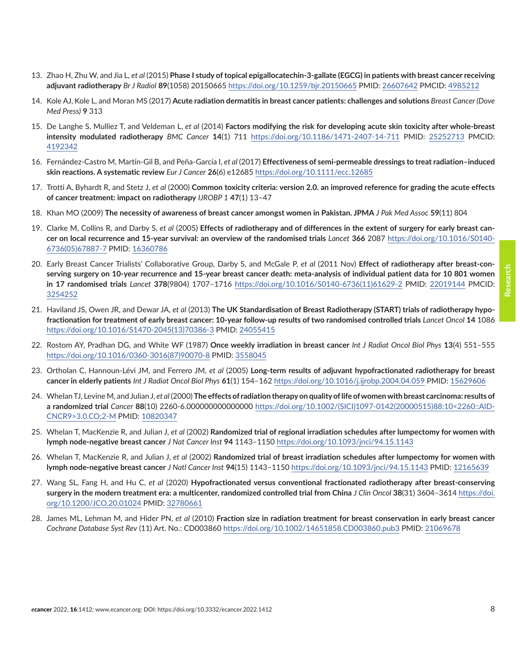- <span id="page-7-0"></span>13. Zhao H, Zhu W, and Jia L, *et al* (2015) **Phase I study of topical epigallocatechin-3-gallate (EGCG) in patients with breast cancer receiving adjuvant radiotherapy** *Br J Radiol* **89**(1058) 20150665<https://doi.org/10.1259/bjr.20150665> PMID: [26607642](http://www.ncbi.nlm.nih.gov/pubmed/26607642) PMCID: [4985212](http://www.ncbi.nlm.nih.gov/pmc/articles/PMC4985212)
- 14. Kole AJ, Kole L, and Moran MS (2017) **Acute radiation dermatitis in breast cancer patients: challenges and solutions** *Breast Cancer (Dove Med Press)* **9** 313
- 15. De Langhe S, Mulliez T, and Veldeman L, *et al* (2014) **Factors modifying the risk for developing acute skin toxicity after whole-breast intensity modulated radiotherapy** *BMC Cancer* **14**(1) 711 <https://doi.org/10.1186/1471-2407-14-711>PMID: [25252713](http://www.ncbi.nlm.nih.gov/pubmed/25252713) PMCID: [4192342](http://www.ncbi.nlm.nih.gov/pmc/articles/PMC4192342)
- 16. Fernández-Castro M, Martín-Gil B, and Peña-García I, *et al* (2017) **Effectiveness of semi-permeable dressings to treat radiation–induced skin reactions. A systematic review** *Eur J Cancer* **26**(6) e12685 <https://doi.org/10.1111/ecc.12685>
- 17. Trotti A, Byhardt R, and Stetz J, *et al* (2000) **Common toxicity criteria: version 2.0. an improved reference for grading the acute effects of cancer treatment: impact on radiotherapy** *IJROBP 1* **47**(1) 13–47
- 18. Khan MO (2009) **The necessity of awareness of breast cancer amongst women in Pakistan. JPMA** *J Pak Med Assoc* **59**(11) 804
- 19. Clarke M, Collins R, and Darby S, *et al* (2005) **Effects of radiotherapy and of differences in the extent of surgery for early breast cancer on local recurrence and 15-year survival: an overview of the randomised trials** *Lancet* **366** 2087 [https://doi.org/10.1016/S0140-](https://doi.org/10.1016/S0140-6736(05)67887-7) [6736\(05\)67887-7](https://doi.org/10.1016/S0140-6736(05)67887-7) PMID: [16360786](http://www.ncbi.nlm.nih.gov/pubmed/16360786)
- 20. Early Breast Cancer Trialists' Collaborative Group, Darby S, and McGale P, *et al* (2011 Nov) **Effect of radiotherapy after breast-conserving surgery on 10-year recurrence and 15-year breast cancer death: meta-analysis of individual patient data for 10 801 women in 17 randomised trials** *Lancet* **378**(9804) 1707–1716 [https://doi.org/10.1016/S0140-6736\(11\)61629-2](https://doi.org/10.1016/S0140-6736(11)61629-2) PMID: [22019144](http://www.ncbi.nlm.nih.gov/pubmed/22019144) PMCID: [3254252](http://www.ncbi.nlm.nih.gov/pmc/articles/PMC3254252)
- 21. Haviland JS, Owen JR, and Dewar JA, *et al* (2013) **The UK Standardisation of Breast Radiotherapy (START) trials of radiotherapy hypofractionation for treatment of early breast cancer: 10-year follow-up results of two randomised controlled trials** *Lancet Oncol* **14** 1086 [https://doi.org/10.1016/S1470-2045\(13\)70386-3](https://doi.org/10.1016/S1470-2045(13)70386-3) PMID: [24055415](http://www.ncbi.nlm.nih.gov/pubmed/24055415)
- 22. Rostom AY, Pradhan DG, and White WF (1987) **Once weekly irradiation in breast cancer** *Int J Radiat Oncol Biol Phys* **13**(4) 551–555 [https://doi.org/10.1016/0360-3016\(87\)90070-8](https://doi.org/10.1016/0360-3016(87)90070-8) PMID: [3558045](http://www.ncbi.nlm.nih.gov/pubmed/3558045)
- 23. Ortholan C, Hannoun-Lévi JM, and Ferrero JM, *et al* (2005) **Long-term results of adjuvant hypofractionated radiotherapy for breast cancer in elderly patients** *Int J Radiat Oncol Biol Phys* **61**(1) 154–162 <https://doi.org/10.1016/j.ijrobp.2004.04.059> PMID: [15629606](http://www.ncbi.nlm.nih.gov/pubmed/15629606)
- 24. Whelan TJ, Levine M, and Julian J, *et al* (2000) **The effects of radiation therapy on quality of life of women with breast carcinoma: results of a randomized trial** *Cancer* **88**(10) 2260-6.000000000000000 [https://doi.org/10.1002/\(SICI\)1097-0142\(20000515\)88:10<2260::AID-](https://doi.org/10.1002/(SICI)1097-0142(20000515)88:10<2260::AID-CNCR9>3.0.CO;2-M)[CNCR9>3.0.CO;2-M](https://doi.org/10.1002/(SICI)1097-0142(20000515)88:10<2260::AID-CNCR9>3.0.CO;2-M) PMID: [10820347](http://www.ncbi.nlm.nih.gov/pubmed/10820347)
- 25. Whelan T, MacKenzie R, and Julian J, *et al* (2002) **Randomized trial of regional irradiation schedules after lumpectomy for women with lymph node-negative breast cancer** *J Nat Cancer Inst* **94** 1143–1150<https://doi.org/10.1093/jnci/94.15.1143>
- 26. Whelan T, MacKenzie R, and Julian J, *et al* (2002) **Randomized trial of breast irradiation schedules after lumpectomy for women with lymph node-negative breast cancer** *J Natl Cancer Inst* **94**(15) 1143–1150<https://doi.org/10.1093/jnci/94.15.1143> PMID: [12165639](http://www.ncbi.nlm.nih.gov/pubmed/12165639)
- 27. Wang SL, Fang H, and Hu C, *et al* (2020) **Hypofractionated versus conventional fractionated radiotherapy after breast-conserving surgery in the modern treatment era: a multicenter, randomized controlled trial from China** *J Clin Oncol* **38**(31) 3604–3614 [https://doi.](https://doi.org/10.1200/JCO.20.01024) [org/10.1200/JCO.20.01024](https://doi.org/10.1200/JCO.20.01024) PMID: [32780661](http://www.ncbi.nlm.nih.gov/pubmed/32780661)
- 28. James ML, Lehman M, and Hider PN, *et al* (2010) **Fraction size in radiation treatment for breast conservation in early breast cancer** *Cochrane Database Syst Rev* (11) Art. No.: CD003860<https://doi.org/10.1002/14651858.CD003860.pub3>PMID: [21069678](http://www.ncbi.nlm.nih.gov/pubmed/21069678)